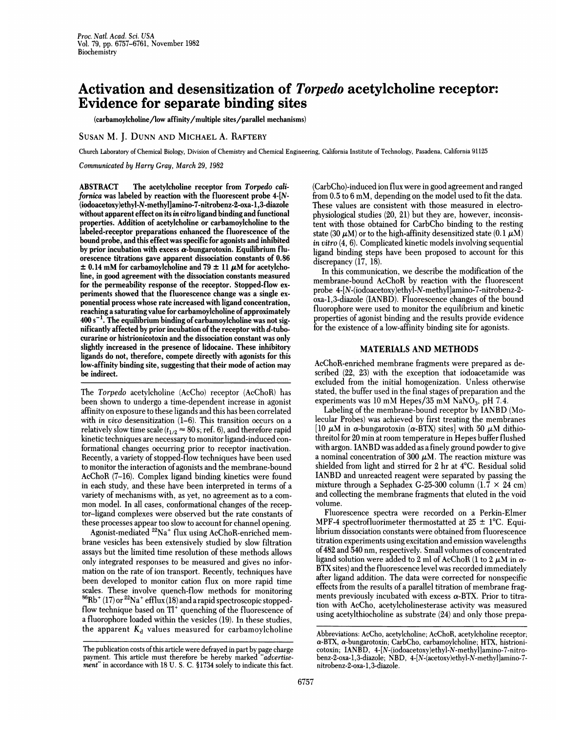# Activation and desensitization of Torpedo acetylcholine receptor: Evidence for separate binding sites

(carbamoyleholine/low affinity/multiple sites/parallel mechanisms)

# SUSAN M. J. DUNN AND MICHAEL A. RAFTERY

Church Laboratory of Chemical Biology, Division of Chemistry and Chemical Engineering, California Institute of Technology, Pasadena, California 91125

Communicated by Harry Gray, March 29, 1982

ABSTRACT The acetylcholine receptor from Torpedo californica was labeled by reaction with the fluorescent probe 4-[N- (iodoacetoxy)ethyl-N-methyl]amino-7-nitrobenz-2-oxa-1,3-diazole without apparent effect on its in vitro ligand binding and functional properties. Addition of acetylcholine or carbamoylcholine to the labeled-receptor preparations enhanced the fluorescence of the bound probe, and this effect was specific for agonists and inhibited by prior incubation with excess  $\alpha$ -bungarotoxin. Equilibrium fluorescence titrations gave apparent dissociation constants of 0.86  $\pm$  0.14 mM for carbamoylcholine and 79  $\pm$  11  $\mu$ M for acetylcholine, in good agreement with the dissociation constants measured for the permeability response of the receptor. Stopped-flow experiments showed that the fluorescence change was a single exponential process whose rate increased with ligand concentration, reaching a saturating value for carbamoylcholine of approximately  $400 s<sup>-1</sup>$ . The equilibrium binding of carbamoylcholine was not significantly affected by prior incubation of the receptor with d-tubocurarine or histrionicotoxin and the dissociation constant was only slightly increased in the presence of lidocaine. These inhibitory ligands do not, therefore, compete directly with agonists for this low-affinity binding site, suggesting that their mode of action may be indirect.

The Torpedo acetylcholine (AcCho) receptor (AcChoR) has been shown to undergo a time-dependent increase in agonist affinity on exposure to these ligands and this has been correlated with in vivo desensitization (1-6). This transition occurs on a relatively slow time scale ( $t_{1/2} \approx 80$  s; ref. 6), and therefore rapid kinetic techniques are necessary to monitor ligand-induced conformational changes occurring prior to receptor inactivation. Recently, a variety of stopped-flow techniques have been used to monitor the interaction of agonists and the membrane-bound AcChoR (7-16). Complex ligand binding kinetics were found in each study, and these have been interpreted in terms of a variety of mechanisms with, as yet, no agreement as to a common model. In all cases, conformational changes of the receptor-ligand complexes were observed but the rate constants of these processes appear too slow to account for channel opening.

Agonist-mediated <sup>22</sup>Na<sup>+</sup> flux using AcChoR-enriched membrane vesicles has been extensively studied by slow filtration assays but the limited time resolution of these methods allows only integrated responses to be measured and gives no information on the rate of ion transport. Recently, techniques have -been developed to monitor cation flux on more rapid time scales. These involve quench-flow methods for monitoring  $^{86}$ Rb<sup>+</sup> (17) or  $^{22}$ Na<sup>+</sup> efflux (18) and a rapid spectroscopic stoppedflow technique based on  $TI$ <sup>+</sup> quenching of the fluorescence of a fluorophore loaded within the vesicles (19). In these studies, the apparent  $K_d$  values measured for carbamoylcholine (CarbCho)-induced ion flux were in good agreement and ranged from 0.5 to 6 mM, depending on the model used to fit the data. These values are consistent with those measured in electrophysiological studies (20, 21) but they are, however, inconsistent with those obtained for CarbCho binding to the resting state (30  $\mu$ M) or to the high-affinity desensitized state (0.1  $\mu$ M) in vitro (4, 6). Complicated kinetic models involving sequential ligand binding steps have been proposed to account for this discrepancy (17, 18).

In this communication, we describe the modification of the membrane-bound AcChoR by reaction with the fluorescent probe 4-[N-(iodoacetoxy)ethyl-N-methyl]amino-7-nitrobenz-2 oxa-1,3-diazole (IANBD). Fluorescence changes of the bound fluorophore were used to monitor the equilibrium and kinetic properties of agonist binding and the results provide evidence for the existence of a low-affinity binding site for agonists.

### MATERIALS AND METHODS

AcChoR-enriched membrane fragments were prepared as described (22, 23) with the exception that iodoacetamide was excluded from the initial homogenization. Unless otherwise stated, the buffer used in the final stages of preparation and the experiments was 10 mM Hepes/35 mM  $NaNO<sub>3</sub>$ , pH 7.4.

Labeling of the membrane-bound receptor by IANBD (Molecular Probes) was achieved by first treating the membranes [10  $\mu$ M in  $\alpha$ -bungarotoxin ( $\alpha$ -BTX) sites] with 50  $\mu$ M dithiothreitol for 20 min at room temperature in Hepes buffer flushed with argon. IANBD was added as <sup>a</sup> finely ground powder to give a nominal concentration of 300  $\mu$ M. The reaction mixture was shielded from light and stirred for 2 hr at 4°C. Residual solid IANBD and unreacted reagent were separated by passing the mixture through a Sephadex G-25-300 column  $(1.7 \times 24 \text{ cm})$ and collecting the membrane fragments that eluted in the void volume.

Fluorescence spectra were recorded on a Perkin-Elmer MPF-4 spectrofluorimeter thermostatted at  $25 \pm 1$ °C. Equilibrium dissociation constants were obtained from fluorescence titration experiments using excitation and emission wavelengths of482 and 540 nm, respectively. Small volumes of concentrated ligand solution were added to 2 ml of AcChoR (1 to 2  $\mu$ M in  $\alpha$ -BTX sites) and the fluorescence level was recorded immediately after ligand addition. The data were corrected for nonspecific effects from the results of a parallel titration of membrane fragments previously incubated with excess  $\alpha$ -BTX. Prior to titration with AcCho, acetylcholinesterase activity was measured using acetylthiocholine as substrate (24) and only those prepa-

The publication costs of this article were defrayed in part by page charge payment. This article must therefore be hereby marked "advertisement" in accordance with 18 U. S. C. §1734 solely to indicate this fact.

Abbreviations: AcCho, acetylcholine; AcChoR, acetylcholine receptor;  $\alpha$ -BTX,  $\alpha$ -bungarotoxin; CarbCho, carbamoylcholine; HTX, histrionicotoxin; IANBD, 4-[N-(iodoacetoxy)ethyl-N-methyl]amino-7-nitrobenz-2-oxa-1,3-diazole; NBD, 4-[N-(acetoxy)ethyl-N-methyl]amino-7 nitrobenz-2-oxa-1,3-diazole.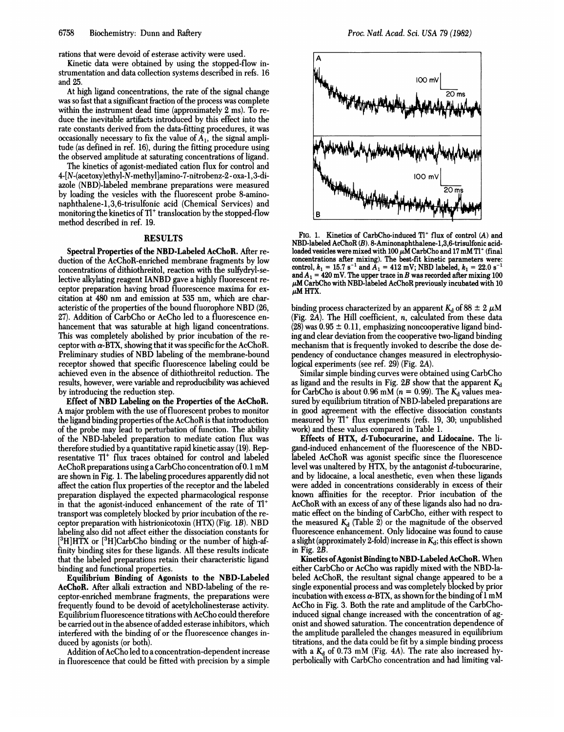rations that were devoid of esterase activity were used.

Kinetic data were obtained by using the stopped-flow instrumentation and data collection systems described in refs. 16 and 25.

At high ligand concentrations, the rate of the signal change was so fast that a significant fraction of the process was complete within the instrument dead time (approximately 2 ms). To reduce the inevitable artifacts introduced by this effect into the rate constants derived from the data-fitting procedures, it was occasionally necessary to fix the value of  $A_1$ , the signal amplitude (as defined in ref. 16), during the fitting procedure using the observed amplitude at saturating concentrations of ligand.

The kinetics of agonist-mediated cation flux for control and 4-[N-(acetoxy)ethyl-N-methyl]amino-7-nitrobenz-2- oxa-1,3-diazole (NBD)-labeled membrane preparations were measured by loading the vesicles with the fluorescent probe 8-aminonaphthalene-1,3,6-trisulfonic acid (Chemical Services) and monitoring the kinetics of  $Tl^+$  translocation by the stopped-flow method described in ref. 19.

# **RESULTS**

Spectral Properties of the NBD-Labeled AcChoR. After reduction of the AcChoR-enriched membrane fragments by low concentrations of dithiothreitol, reaction with the sulfydryl-selective alkylating reagent IANBD gave <sup>a</sup> highly fluorescent receptor preparation having broad fluorescence maxima for excitation at 480 nm and emission at 535 nm, which are characteristic of the properties of the bound fluorophore NBD (26, 27). Addition of CarbCho or AcCho led to a fluorescence enhancement that was saturable at high ligand concentrations. This was completely abolished by prior incubation of the receptor with  $\alpha$ -BTX, showing that it was specific for the AcChoR. Preliminary studies of NBD labeling of the membrane-bound receptor showed that specific fluorescence labeling could be achieved even in the absence of dithiothreitol reduction. The results, however, were variable and reproducibility was achieved by introducing the reduction step.

Effect of NBD Labeling on the Properties of the AcChoR. A major problem with the use of fluorescent probes to monitor the ligand binding properties of the AcChoR is that introduction of the probe may lead to perturbation of function. The ability of the NBD-labeled preparation to mediate cation flux was therefore studied by a quantitative rapid kinetic assay (19). Representative Tl<sup>+</sup> flux traces obtained for control and labeled AcChoR preparations using a CarbCho concentration of 0.1 mM are shown in Fig. 1. The labeling procedures apparently did not affect the cation flux properties of the receptor and the labeled preparation displayed the expected pharmacological response in that the agonist-induced enhancement of the rate of  $Tl^+$ transport was completely blocked by prior incubation of the receptor preparation with histrionicotoxin (HTX) (Fig. 1B). NBD labeling also did not affect either the dissociation constants for  $[3H]$ HTX or  $[3H]$ CarbCho binding or the number of high-affinity binding sites for these ligands. All these results indicate that the labeled preparations retain their characteristic ligand binding and functional properties.

Equilibrium Binding of Agonists to the NBD-Labeled AcChoR. After alkali extraction and NBD-labeling of the receptor-enriched membrane fragments, the preparations were frequently found to be devoid of acetylcholinesterase activity. Equilibrium fluorescence titrations with AcCho could therefore be carried out in the absence of added esterase inhibitors, which interfered with the binding of or the fluorescence changes induced by agonists (or both).

Addition of AcCho led to a concentration-dependent increase in fluorescence that could be fitted with precision by a simple



FIG. 1. Kinetics of CarbCho-induced  $T1^+$  flux of control (A) and NBD-labeled AcChoR (B). 8-Aminonaphthalene-1,3,6-trisulfonic acidloaded vesicles were mixed with 100  $\mu$ M CarbCho and 17 mM Tl<sup>+</sup> (final concentrations after mixing). The best-fit kinetic parameters were: control,  $k_1 = 15.7 \text{ s}^{-1}$  and  $A_1 = 412 \text{ mV}$ ; NBD labeled,  $k_1 = 22.0 \text{ s}^{-1}$ and  $A_1 = 420$  mV. The upper trace in B was recorded after mixing 100  $\mu$ M CarbCho with NBD-labeled AcChoR previously incubated with 10  $\mu$ M HTX.

binding process characterized by an apparent  $K_d$  of 88  $\pm$  2  $\mu$ M (Fig.  $2\overline{A}$ ). The Hill coefficient, *n*, calculated from these data  $(28)$  was  $0.95 \pm 0.11$ , emphasizing noncooperative ligand binding and clear deviation from the cooperative two-ligand binding mechanism that is frequently invoked to describe the dose dependency of conductance changes measured in electrophysiological experiments (see ref. 29) (Fig. 2A).

Similar simple binding curves were obtained using CarbCho as ligand and the results in Fig. 2B show that the apparent  $K_d$ for CarbCho is about 0.96 mM ( $n = 0.99$ ). The  $K_d$  values measured by equilibrium titration of NBD-labeled preparations are in good agreement with the effective dissociation constants measured by  $Tl^+$  flux experiments (refs. 19, 30; unpublished work) and these values compared in Table 1.

Effects of HTX, d-Tubocurarine, and Lidocaine. The ligand-induced enhancement of the fluorescence of the NBDlabeled AcChoR was agonist specific since the fluorescence level was unaltered by HTX, by the antagonist  $d$ -tubocurarine, and by lidocaine, a local anesthetic, even when these ligands were added in concentrations considerably in excess of their known affinities for the receptor. Prior incubation of the AcChoR with an excess of any of these ligands also had no dramatic effect on the binding of CarbCho, either with respect to the measured  $K_d$  (Table 2) or the magnitude of the observed fluorescence enhancement. Only lidocaine was found to cause a slight (approximately 2-fold) increase in  $K_d$ ; this effect is shown in Fig. 2B.

Kinetics of Agonist Binding to NBD-Labeled AcChoR. When either CarbCho or AcCho was rapidly mixed with the NBD-labeled AcChoR, the resultant signal change appeared to be a single exponential process and was completely blocked by prior incubation with excess  $\alpha$ -BTX, as shown for the binding of  $1 \text{ mM}$ AcCho in Fig. 3. Both the rate and amplitude of the CarbChoinduced signal change increased with the concentration of agonist and showed saturation. The concentration dependence of the amplitude paralleled the changes measured in equilibrium titrations, and the data could be fit by a simple binding process with a  $K_d$  of 0.73 mM (Fig. 4A). The rate also increased hyperbolically with CarbCho concentration and had limiting val-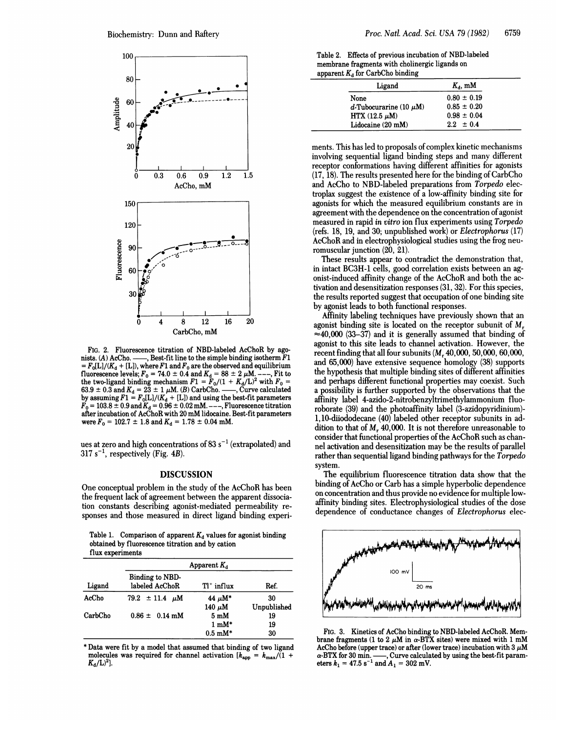

FIG. 2. Fluorescence titration of NBD-labeled AcChoR by agonists. (A) AcCho.  $\frac{1}{100}$ , Best-fit line to the simple binding isotherm F1  $-$ , Best-fit line to the simple binding isotherm  $\overline{F1}$  $=F_0[L]/(K_d+[L])$ , where  $F1$  and  $F_0$  are the observed and equilibrium fluorescence levels;  $F_0 = 74.0 \pm 0.4$  and  $K_d = 88 \pm 2 \ \mu \text{M}_{\text{g}}$  ---, Fit to the two-ligand binding mechanism  $F1 = F_0/(1 + K_d/L)^2$  with  $F_0 =$ 63.9  $\pm$  0.3 and  $K_d = 2\overline{3} \pm 1 \mu M$ . (B) CarbCho. ——, Curve calculated by assuming  $F1 = F_0[L]/(K_d + [L])$  and using the best-fit parameters  $F_0 = 103.8 \pm 0.9$  and  $K_d = 0.96 \pm 0.02$  mM. ---, Fluorescence titration after incubation of AcChoR with 20 mM lidocaine. Best-fit parameters were  $F_0 = 102.7 \pm 1.8$  and  $K_d = 1.78 \pm 0.04$  mM.

ues at zero and high concentrations of 83  $s^{-1}$  (extrapolated) and  $317 s^{-1}$ , respectively (Fig. 4B).

#### DISCUSSION

One conceptual problem in the study of the AcChoR has been the frequent lack of agreement between the apparent dissociation constants describing agonist-mediated permeability responses and those measured in direct ligand binding experi-

Table 1. Comparison of apparent  $K_d$  values for agonist binding obtained by fluorescence titration and by cation flux experiments

| ----------------- |                                   |                            |             |  |
|-------------------|-----------------------------------|----------------------------|-------------|--|
| Ligand            | Apparent $K_d$                    |                            |             |  |
|                   | Binding to NBD-<br>labeled AcChoR | $T1^+$ influx              | Ref.        |  |
| AcCho             | $79.2 \pm 11.4 \mu M$             | 44 $\mu$ M*                | 30          |  |
|                   |                                   | 140 $\mu$ M                | Unpublished |  |
| CarbCho           | $0.86 \pm 0.14$ mM                | $5 \text{ mM}$             | 19          |  |
|                   |                                   | $1 \text{ mM}^*$           | 19          |  |
|                   |                                   | $0.5 \text{ }\mathrm{mM*}$ | 30          |  |

\* Data were fit by a model that assumed that binding of two ligand molecules was required for channel activation  $[k_{app} = k_{max}/(1 +$  $K_{\rm d}$ /L)<sup>2</sup>].

Table 2. Effects of previous incubation of NBD-labeled membrane fragments with cholinergic ligands on apparent  $K_d$  for CarbCho binding

| Ligand                      | $K_{\rm d}$ , mM |  |
|-----------------------------|------------------|--|
| None                        | $0.80 \pm 0.19$  |  |
| d-Tubocurarine (10 $\mu$ M) | $0.85 \pm 0.20$  |  |
| HTX $(12.5 \mu M)$          | $0.98 \pm 0.04$  |  |
| Lidocaine (20 mM)           | $2.2 \pm 0.4$    |  |

ments. This has led to proposals of complex kinetic mechanisms involving sequential ligand binding steps and many different receptor conformations having different affinities for agonists (17, 18). The results presented here for the binding of CarbCho and AcCho to NBD-labeled preparations from Torpedo electroplax suggest the existence of a low-affinity binding site for agonists for which the measured equilibrium constants are in agreement with the dependence on the concentration of agonist measured in rapid in vitro ion flux experiments using Torpedo (refs. 18, 19, and 30; unpublished work) or Electrophorus (17) AcChoR and in electrophysiological studies using the frog neuromuscular junction (20, 21).

These results appear to contradict the demonstration that, in intact BC3H-1 cells, good correlation exists between an agonist-induced affinity change of the AcChoR and both the activation and desensitization responses (31, 32). For this species, the results reported suggest that occupation of one binding site by agonist leads to both functional responses.

Affinity labeling techniques have previously shown that an agonist binding site is located on the receptor subunit of  $M_r$ .  $\approx$ 40,000 (33–37) and it is generally assumed that binding of agonist to this site leads to channel activation. However, the recent finding that all four subunits  $(M_r 40,000, 50,000, 60,000,$ and 65,000) have extensive sequence homology (38) supports the hypothesis that multiple binding sites of different affinities and perhaps different functional properties may coexist. Such a possibility is further supported by the observations that the affinity label 4-azido-2-nitrobenzyltrimethylammonium fluoroborate (39) and the photoaffinity label (3-azidopyridinium)- 1, 10-diiododecane (40) labeled other receptor subunits in addition to that of  $M_r$  40,000. It is not therefore unreasonable to consider that functional properties of the AcChoR such as channel activation and desensitization may be the results of parallel rather than sequential ligand binding pathways for the Torpedo system.

The equilibrium fluorescence titration data show that the binding of AcCho or Carb has a simple hyperbolic dependence on concentration and thus provide no evidence for multiple lowaffinity binding sites. Electrophysiological studies of the dose dependence of conductance changes of Electrophorus elec-



FIG. 3. Kinetics of AcCho binding to NBD-labeled AcChoR. Membrane fragments (1 to 2  $\mu$ M in  $\alpha$ -BTX sites) were mixed with 1 mM AcCho before (upper trace) or after (lower trace) incubation with 3  $\mu\text{M}$  $\alpha$ -BTX for 30 min. ——, Curve calculated by using the best-fit param-<br>eters  $k_1 = 47.5 \text{ s}^{-1}$  and  $A_1 = 302 \text{ mV}$ .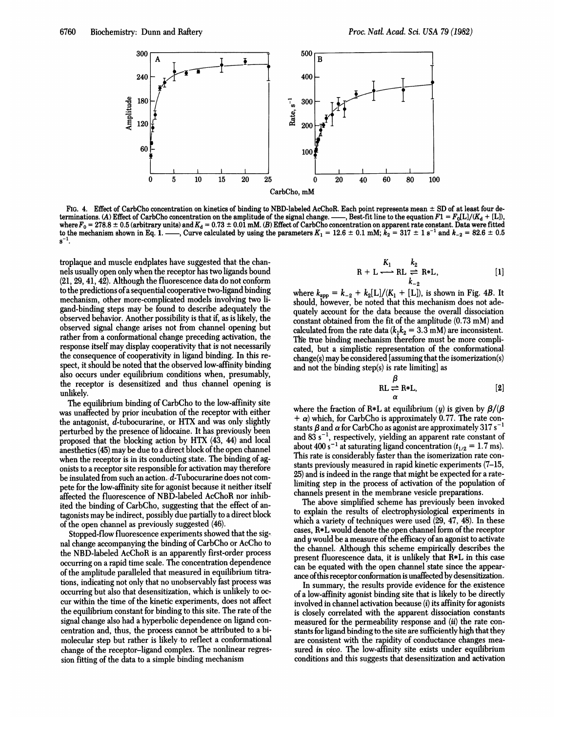

FIG. 4. Effect of CarbCho concentration on kinetics of binding to NBD-labeled AcChoR. Each point represents mean ± SD of at least four determinations. (A) Effect of CarbCho concentration on the amplitude of the signal change. --, Best-fit line to the equation  $F1 = F_0[L]/(K_d + [L])$ , where  $F_0 = 278.8 \pm 0.5$  (arbitrary units) and  $K_d = 0.73 \pm 0.01$  mM. (B) Effect of CarbCho concentration on apparent rate constant. Data were fitted to the mechanism shown in Eq. 1. —–, Curve calculated by using the parameters  $K_1 = 12.6 \pm 0.1$  mM;  $k_2 = 317 \pm 1$  s<sup>-1</sup> and  $k_{-2} = 82.6 \pm 0.5$  $s^{-1}$ 

troplaque and muscle endplates have suggested that the channels usually open only when the receptor has two ligands bound (21, 29, 41, 42). Although the fluorescence data do not conform to the predictions of a sequential cooperative two-ligand binding mechanism, other more-complicated models involving two ligand-binding steps may be found to describe adequately the observed behavior. Another possibility is that if, as is likely, the observed signal change arises not from channel opening but rather from a conformational change preceding activation, the response itself may display cooperativity that is not necessarily the consequence of cooperativity in ligand binding. In this respect, it should be noted that the observed low-affinity binding also occurs under equilibrium conditions when, presumably, the receptor is desensitized and thus channel opening is unlikelv.

The equilibrium binding of CarbCho to the low-affinity site was unaffected by prior incubation of the receptor with either the antagonist, d-tubocurarine, or HTX and was only slightly perturbed by the presence of lidocaine. It has previously been proposed that the blocking action by HTX (43, 44) and local anesthetics (45) may be due to a direct block of the open channel when the receptor is in its conducting state. The binding of agonists to a receptor site responsible for activation may therefore be insulated from such an action. d-Tubocurarine does not compete for the low-affinity site for agonist because it neither itself affected the fluorescence of NBD-labeled AcChoR nor inhibited the binding of CarbCho, suggesting that the effect of antagonists may be indirect, possibly due partially to a direct block of the open channel as previously suggested (46).

Stopped-flow fluorescence experiments showed that the signal change accompanying the binding of CarbCho or AcCho to the NBD-labeled AcChoR is an apparently first-order process occurring on a rapid time scale. The concentration dependence of the amplitude paralleled that measured in equilibrium titrations, indicating not only that no unobservably fast process was occurring but also that desensitization, which is unlikely to occur within the time of the kinetic experiments, does not affect the equilibrium constant for binding to this site. The rate of the signal change also had a hyperbolic dependence on ligand concentration and, thus, the process cannot be attributed to a bimolecular step but rather is likely to reflect a conformational change of the receptor-ligand complex. The nonlinear regression fitting of the data to a simple binding mechanism

$$
R + L \xrightarrow{K_1} RL \xleftarrow{k_2} R * L,
$$
 [1]

where  $k_{app} = k_{-2} + k_2[L]/(K_1 + [L])$ , is shown in Fig. 4B. It should, however, be noted that this mechanism does not adequately account for the data because the overall dissociation constant obtained from the fit of the amplitude (0.73 mM) and calculated from the rate data ( $k_1k_2 = 3.3$  mM) are inconsistent. The true binding mechanism therefore must be more complicated, but a simplistic representation of the conformational  $change(s)$  may be considered [assuming that the isomerization(s) and not the binding step(s) is rate limiting] as

$$
\beta = R*L, \qquad [2]
$$

where the fraction of R\*L at equilibrium (y) is given by  $\beta/(\beta)$  $+ \alpha$ ) which, for CarbCho is approximately 0.77. The rate constants  $\beta$  and  $\alpha$  for CarbCho as agonist are approximately 317 s<sup>-1</sup> and 83  $s^{-1}$ , respectively, yielding an apparent rate constant of about 400 s<sup>-1</sup> at saturating ligand concentration ( $t_{1/2} = 1.7$  ms). This rate is considerably faster than the isomerization rate constants previously measured in rapid kinetic experiments (7-15, 25) and is indeed in the range that might be expected for a ratelimiting step in the process of activation of the population of channels present in the membrane vesicle preparations.

The above simplified scheme has previously been invoked to explain the results of electrophysiological experiments in which a variety of techniques were used  $(29, 47, 48)$ . In these cases. R\*L would denote the open channel form of the receptor and y would be a measure of the efficacy of an agonist to activate the channel. Although this scheme empirically describes the present fluorescence data, it is unlikely that R\*L in this case can be equated with the open channel state since the appearance of this receptor conformation is unaffected by desensitization.

In summary, the results provide evidence for the existence of a low-affinity agonist binding site that is likely to be directly involved in channel activation because (*i*) its affinity for agonists is closely correlated with the apparent dissociation constants measured for the permeability response and (ii) the rate constants for ligand binding to the site are sufficiently high that they are consistent with the rapidity of conductance changes measured in vivo. The low-affinity site exists under equilibrium conditions and this suggests that desensitization and activation